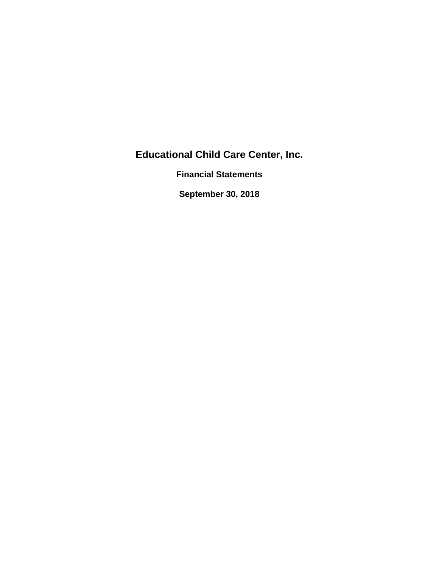**Educational Child Care Center, Inc.**

**Financial Statements**

**September 30, 2018**

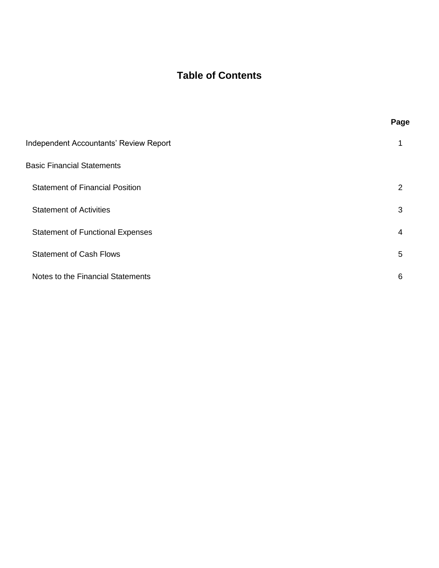# **Table of Contents**

|                                         | Page |
|-----------------------------------------|------|
| Independent Accountants' Review Report  | 1    |
| <b>Basic Financial Statements</b>       |      |
| <b>Statement of Financial Position</b>  | 2    |
| <b>Statement of Activities</b>          | 3    |
| <b>Statement of Functional Expenses</b> | 4    |
| <b>Statement of Cash Flows</b>          | 5    |
| Notes to the Financial Statements       | 6    |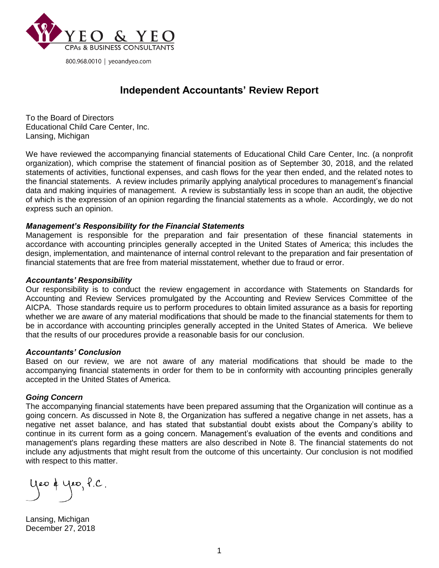

800.968.0010 | yeoandyeo.com

# **Independent Accountants' Review Report**

To the Board of Directors Educational Child Care Center, Inc. Lansing, Michigan

We have reviewed the accompanying financial statements of Educational Child Care Center, Inc. (a nonprofit organization), which comprise the statement of financial position as of September 30, 2018, and the related statements of activities, functional expenses, and cash flows for the year then ended, and the related notes to the financial statements. A review includes primarily applying analytical procedures to management's financial data and making inquiries of management. A review is substantially less in scope than an audit, the objective of which is the expression of an opinion regarding the financial statements as a whole. Accordingly, we do not express such an opinion.

#### *Management's Responsibility for the Financial Statements*

Management is responsible for the preparation and fair presentation of these financial statements in accordance with accounting principles generally accepted in the United States of America; this includes the design, implementation, and maintenance of internal control relevant to the preparation and fair presentation of financial statements that are free from material misstatement, whether due to fraud or error.

#### *Accountants' Responsibility*

Our responsibility is to conduct the review engagement in accordance with Statements on Standards for Accounting and Review Services promulgated by the Accounting and Review Services Committee of the AICPA. Those standards require us to perform procedures to obtain limited assurance as a basis for reporting whether we are aware of any material modifications that should be made to the financial statements for them to be in accordance with accounting principles generally accepted in the United States of America. We believe that the results of our procedures provide a reasonable basis for our conclusion.

#### *Accountants' Conclusion*

Based on our review, we are not aware of any material modifications that should be made to the accompanying financial statements in order for them to be in conformity with accounting principles generally accepted in the United States of America.

#### *Going Concern*

The accompanying financial statements have been prepared assuming that the Organization will continue as a going concern. As discussed in Note 8, the Organization has suffered a negative change in net assets, has a negative net asset balance, and has stated that substantial doubt exists about the Company's ability to continue in its current form as a going concern. Management's evaluation of the events and conditions and management's plans regarding these matters are also described in Note 8. The financial statements do not include any adjustments that might result from the outcome of this uncertainty. Our conclusion is not modified with respect to this matter.

Yeo & Yeo, P.C.

Lansing, Michigan December 27, 2018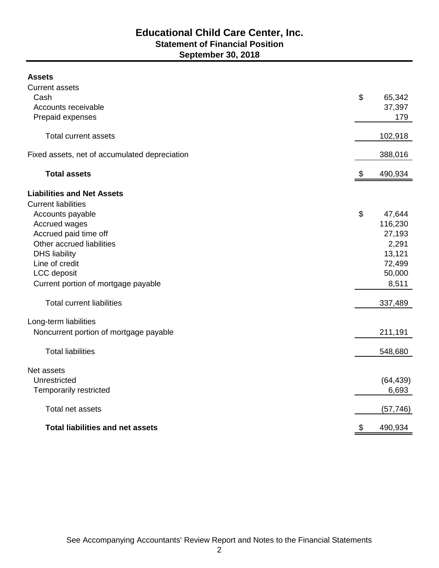| <b>Assets</b>                                 |               |
|-----------------------------------------------|---------------|
| <b>Current assets</b>                         |               |
| Cash                                          | \$<br>65,342  |
| Accounts receivable                           | 37,397        |
| Prepaid expenses                              | 179           |
| Total current assets                          | 102,918       |
| Fixed assets, net of accumulated depreciation | 388,016       |
| <b>Total assets</b>                           | \$<br>490,934 |
| <b>Liabilities and Net Assets</b>             |               |
| <b>Current liabilities</b>                    |               |
| Accounts payable                              | \$<br>47,644  |
| Accrued wages                                 | 116,230       |
| Accrued paid time off                         | 27,193        |
| Other accrued liabilities                     | 2,291         |
| <b>DHS liability</b>                          | 13,121        |
| Line of credit                                | 72,499        |
| LCC deposit                                   | 50,000        |
| Current portion of mortgage payable           | 8,511         |
| <b>Total current liabilities</b>              | 337,489       |
| Long-term liabilities                         |               |
| Noncurrent portion of mortgage payable        | 211,191       |
| <b>Total liabilities</b>                      | 548,680       |
| Net assets                                    |               |
| Unrestricted                                  | (64, 439)     |
| Temporarily restricted                        | 6,693         |
| Total net assets                              | (57, 746)     |
| <b>Total liabilities and net assets</b>       | \$<br>490,934 |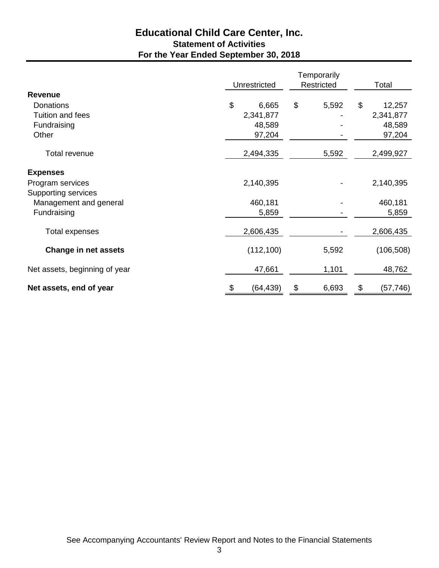# **Educational Child Care Center, Inc. Statement of Activities For the Year Ended September 30, 2018**

|                               | Unrestricted |            |    | Temporarily<br>Restricted |    | Total      |  |
|-------------------------------|--------------|------------|----|---------------------------|----|------------|--|
| <b>Revenue</b>                |              |            |    |                           |    |            |  |
| <b>Donations</b>              | \$           | 6,665      | \$ | 5,592                     | \$ | 12,257     |  |
| Tuition and fees              |              | 2,341,877  |    |                           |    | 2,341,877  |  |
| Fundraising                   |              | 48,589     |    |                           |    | 48,589     |  |
| Other                         |              | 97,204     |    |                           |    | 97,204     |  |
| <b>Total revenue</b>          |              | 2,494,335  |    | 5,592                     |    | 2,499,927  |  |
| <b>Expenses</b>               |              |            |    |                           |    |            |  |
| Program services              |              | 2,140,395  |    |                           |    | 2,140,395  |  |
| <b>Supporting services</b>    |              |            |    |                           |    |            |  |
| Management and general        |              | 460,181    |    |                           |    | 460,181    |  |
| Fundraising                   |              | 5,859      |    |                           |    | 5,859      |  |
| Total expenses                |              | 2,606,435  |    |                           |    | 2,606,435  |  |
| <b>Change in net assets</b>   |              | (112, 100) |    | 5,592                     |    | (106, 508) |  |
| Net assets, beginning of year |              | 47,661     |    | 1,101                     |    | 48,762     |  |
| Net assets, end of year       | \$           | (64, 439)  | \$ | 6,693                     | \$ | (57, 746)  |  |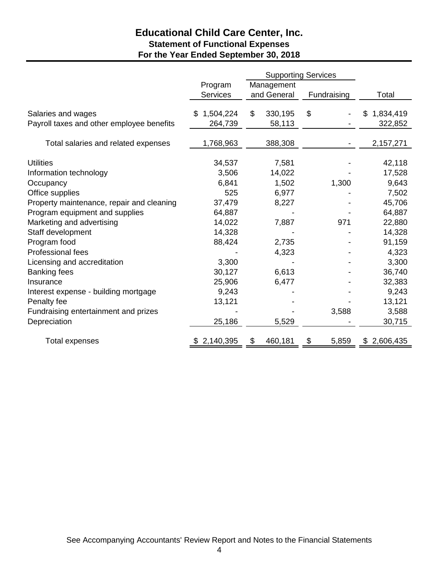# **For the Year Ended September 30, 2018 Educational Child Care Center, Inc. Statement of Functional Expenses**

|                                           | <b>Supporting Services</b> |               |             |                 |
|-------------------------------------------|----------------------------|---------------|-------------|-----------------|
|                                           | Program                    | Management    |             |                 |
|                                           | <b>Services</b>            | and General   | Fundraising | Total           |
| Salaries and wages                        | 1,504,224<br>\$.           | \$<br>330,195 | \$          | 1,834,419<br>S  |
| Payroll taxes and other employee benefits | 264,739                    | 58,113        |             | 322,852         |
| Total salaries and related expenses       | 1,768,963                  | 388,308       |             | 2,157,271       |
| <b>Utilities</b>                          | 34,537                     | 7,581         |             | 42,118          |
| Information technology                    | 3,506                      | 14,022        |             | 17,528          |
| Occupancy                                 | 6,841                      | 1,502         | 1,300       | 9,643           |
| Office supplies                           | 525                        | 6,977         |             | 7,502           |
| Property maintenance, repair and cleaning | 37,479                     | 8,227         |             | 45,706          |
| Program equipment and supplies            | 64,887                     |               |             | 64,887          |
| Marketing and advertising                 | 14,022                     | 7,887         | 971         | 22,880          |
| Staff development                         | 14,328                     |               |             | 14,328          |
| Program food                              | 88,424                     | 2,735         |             | 91,159          |
| <b>Professional fees</b>                  |                            | 4,323         |             | 4,323           |
| Licensing and accreditation               | 3,300                      |               |             | 3,300           |
| <b>Banking fees</b>                       | 30,127                     | 6,613         |             | 36,740          |
| Insurance                                 | 25,906                     | 6,477         |             | 32,383          |
| Interest expense - building mortgage      | 9,243                      |               |             | 9,243           |
| Penalty fee                               | 13,121                     |               |             | 13,121          |
| Fundraising entertainment and prizes      |                            |               | 3,588       | 3,588           |
| Depreciation                              | 25,186                     | 5,529         |             | 30,715          |
| <b>Total expenses</b>                     | 2,140,395                  | 460,181<br>£. | 5,859<br>\$ | 2,606,435<br>S. |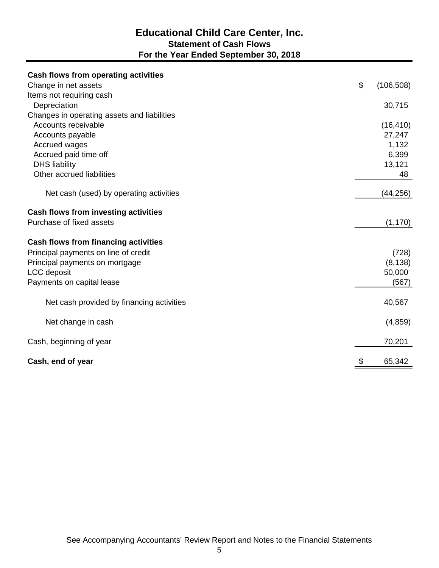# **Educational Child Care Center, Inc. Statement of Cash Flows For the Year Ended September 30, 2018**

| Cash flows from operating activities        |               |            |
|---------------------------------------------|---------------|------------|
| Change in net assets                        | $\frac{1}{2}$ | (106, 508) |
| Items not requiring cash                    |               |            |
| Depreciation                                |               | 30,715     |
| Changes in operating assets and liabilities |               |            |
| Accounts receivable                         |               | (16, 410)  |
| Accounts payable                            |               | 27,247     |
| Accrued wages                               |               | 1,132      |
| Accrued paid time off                       |               | 6,399      |
| <b>DHS liability</b>                        |               | 13,121     |
| Other accrued liabilities                   |               | 48         |
| Net cash (used) by operating activities     |               | (44, 256)  |
| <b>Cash flows from investing activities</b> |               |            |
| Purchase of fixed assets                    |               | (1, 170)   |
| <b>Cash flows from financing activities</b> |               |            |
| Principal payments on line of credit        |               | (728)      |
| Principal payments on mortgage              |               | (8, 138)   |
| <b>LCC</b> deposit                          |               | 50,000     |
| Payments on capital lease                   |               | (567)      |
| Net cash provided by financing activities   |               | 40,567     |
| Net change in cash                          |               | (4, 859)   |
| Cash, beginning of year                     |               | 70,201     |
| Cash, end of year                           | \$            | 65,342     |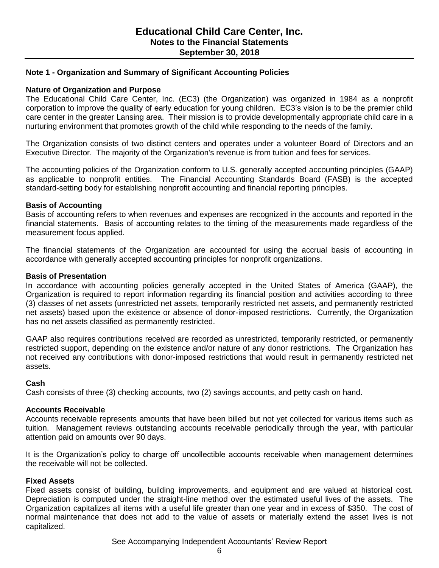#### **Note 1 - Organization and Summary of Significant Accounting Policies**

#### **Nature of Organization and Purpose**

The Educational Child Care Center, Inc. (EC3) (the Organization) was organized in 1984 as a nonprofit corporation to improve the quality of early education for young children. EC3's vision is to be the premier child care center in the greater Lansing area. Their mission is to provide developmentally appropriate child care in a nurturing environment that promotes growth of the child while responding to the needs of the family.

The Organization consists of two distinct centers and operates under a volunteer Board of Directors and an Executive Director. The majority of the Organization's revenue is from tuition and fees for services.

The accounting policies of the Organization conform to U.S. generally accepted accounting principles (GAAP) as applicable to nonprofit entities. The Financial Accounting Standards Board (FASB) is the accepted standard-setting body for establishing nonprofit accounting and financial reporting principles.

#### **Basis of Accounting**

Basis of accounting refers to when revenues and expenses are recognized in the accounts and reported in the financial statements. Basis of accounting relates to the timing of the measurements made regardless of the measurement focus applied.

The financial statements of the Organization are accounted for using the accrual basis of accounting in accordance with generally accepted accounting principles for nonprofit organizations.

#### **Basis of Presentation**

In accordance with accounting policies generally accepted in the United States of America (GAAP), the Organization is required to report information regarding its financial position and activities according to three (3) classes of net assets (unrestricted net assets, temporarily restricted net assets, and permanently restricted net assets) based upon the existence or absence of donor-imposed restrictions. Currently, the Organization has no net assets classified as permanently restricted.

GAAP also requires contributions received are recorded as unrestricted, temporarily restricted, or permanently restricted support, depending on the existence and/or nature of any donor restrictions. The Organization has not received any contributions with donor-imposed restrictions that would result in permanently restricted net assets.

#### **Cash**

Cash consists of three (3) checking accounts, two (2) savings accounts, and petty cash on hand.

#### **Accounts Receivable**

Accounts receivable represents amounts that have been billed but not yet collected for various items such as tuition. Management reviews outstanding accounts receivable periodically through the year, with particular attention paid on amounts over 90 days.

It is the Organization's policy to charge off uncollectible accounts receivable when management determines the receivable will not be collected.

#### **Fixed Assets**

Fixed assets consist of building, building improvements, and equipment and are valued at historical cost. Depreciation is computed under the straight-line method over the estimated useful lives of the assets. The Organization capitalizes all items with a useful life greater than one year and in excess of \$350. The cost of normal maintenance that does not add to the value of assets or materially extend the asset lives is not capitalized.

See Accompanying Independent Accountants' Review Report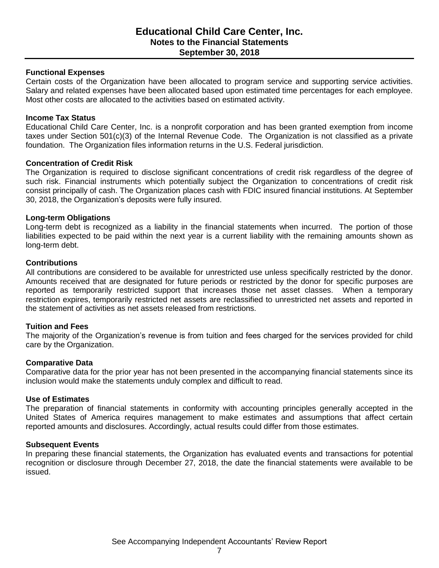#### **Functional Expenses**

Certain costs of the Organization have been allocated to program service and supporting service activities. Salary and related expenses have been allocated based upon estimated time percentages for each employee. Most other costs are allocated to the activities based on estimated activity.

#### **Income Tax Status**

Educational Child Care Center, Inc. is a nonprofit corporation and has been granted exemption from income taxes under Section 501(c)(3) of the Internal Revenue Code. The Organization is not classified as a private foundation. The Organization files information returns in the U.S. Federal jurisdiction.

#### **Concentration of Credit Risk**

The Organization is required to disclose significant concentrations of credit risk regardless of the degree of such risk. Financial instruments which potentially subject the Organization to concentrations of credit risk consist principally of cash. The Organization places cash with FDIC insured financial institutions. At September 30, 2018, the Organization's deposits were fully insured.

#### **Long-term Obligations**

Long-term debt is recognized as a liability in the financial statements when incurred. The portion of those liabilities expected to be paid within the next year is a current liability with the remaining amounts shown as long-term debt.

#### **Contributions**

All contributions are considered to be available for unrestricted use unless specifically restricted by the donor. Amounts received that are designated for future periods or restricted by the donor for specific purposes are reported as temporarily restricted support that increases those net asset classes. When a temporary restriction expires, temporarily restricted net assets are reclassified to unrestricted net assets and reported in the statement of activities as net assets released from restrictions.

#### **Tuition and Fees**

The majority of the Organization's revenue is from tuition and fees charged for the services provided for child care by the Organization.

#### **Comparative Data**

Comparative data for the prior year has not been presented in the accompanying financial statements since its inclusion would make the statements unduly complex and difficult to read.

#### **Use of Estimates**

The preparation of financial statements in conformity with accounting principles generally accepted in the United States of America requires management to make estimates and assumptions that affect certain reported amounts and disclosures. Accordingly, actual results could differ from those estimates.

#### **Subsequent Events**

In preparing these financial statements, the Organization has evaluated events and transactions for potential recognition or disclosure through December 27, 2018, the date the financial statements were available to be issued.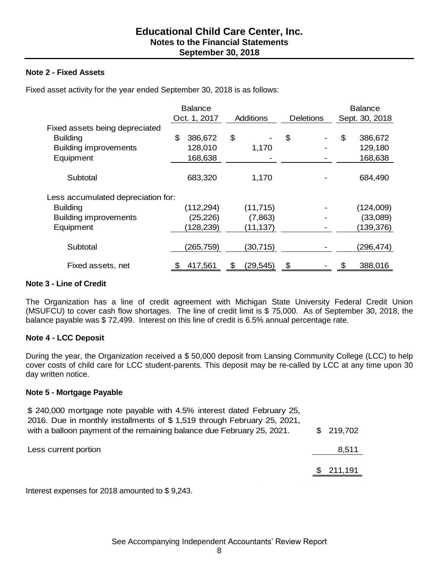#### **Note 2 - Fixed Assets**

Fixed asset activity for the year ended September 30, 2018 is as follows:

|                                    |              | <b>Balance</b> |                  |           |                  |  |                | <b>Balance</b> |
|------------------------------------|--------------|----------------|------------------|-----------|------------------|--|----------------|----------------|
|                                    | Oct. 1, 2017 |                | <b>Additions</b> |           | <b>Deletions</b> |  | Sept. 30, 2018 |                |
| Fixed assets being depreciated     |              |                |                  |           |                  |  |                |                |
| <b>Building</b>                    | \$           | 386,672        | \$               |           | \$               |  | \$             | 386,672        |
| <b>Building improvements</b>       |              | 128,010        |                  | 1,170     |                  |  |                | 129,180        |
| Equipment                          |              | 168,638        |                  |           |                  |  |                | 168,638        |
|                                    |              |                |                  |           |                  |  |                |                |
| Subtotal                           |              | 683,320        |                  | 1,170     |                  |  |                | 684,490        |
| Less accumulated depreciation for: |              |                |                  |           |                  |  |                |                |
| <b>Building</b>                    |              | (112,294)      |                  | (11, 715) |                  |  |                | (124,009)      |
| <b>Building improvements</b>       |              | (25,226)       |                  | (7,863)   |                  |  |                | (33,089)       |
| Equipment                          |              | 128,239)       |                  | (11, 137) |                  |  |                | (139,376)      |
| Subtotal                           |              | (265,759)      |                  | (30,715)  |                  |  |                | (296,474)      |
| Fixed assets, net                  | \$           | 417,561        | \$               | (29, 545) | \$               |  |                | 388,016        |

#### **Note 3 - Line of Credit**

The Organization has a line of credit agreement with Michigan State University Federal Credit Union (MSUFCU) to cover cash flow shortages. The line of credit limit is \$ 75,000. As of September 30, 2018, the balance payable was \$ 72,499. Interest on this line of credit is 6.5% annual percentage rate.

#### **Note 4 - LCC Deposit**

During the year, the Organization received a \$ 50,000 deposit from Lansing Community College (LCC) to help cover costs of child care for LCC student-parents. This deposit may be re-called by LCC at any time upon 30 day written notice.

#### **Note 5 - Mortgage Payable**

| \$ 240,000 mortgage note payable with 4.5% interest dated February 25,<br>2016. Due in monthly installments of \$1,519 through February 25, 2021, |           |
|---------------------------------------------------------------------------------------------------------------------------------------------------|-----------|
| with a balloon payment of the remaining balance due February 25, 2021.                                                                            | \$219,702 |
| Less current portion                                                                                                                              | 8,511     |
|                                                                                                                                                   | \$211,191 |

Interest expenses for 2018 amounted to \$ 9,243.